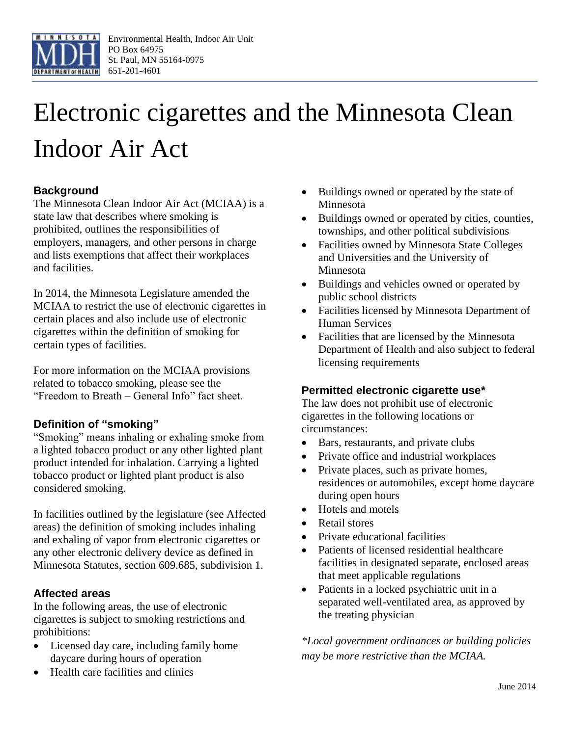

# Electronic cigarettes and the Minnesota Clean Indoor Air Act

# **Background**

 The Minnesota Clean Indoor Air Act (MCIAA) is a state law that describes where smoking is prohibited, outlines the responsibilities of employers, managers, and other persons in charge and lists exemptions that affect their workplaces and facilities.

 cigarettes within the definition of smoking for certain types of facilities. In 2014, the Minnesota Legislature amended the MCIAA to restrict the use of electronic cigarettes in certain places and also include use of electronic

For more information on the MCIAA provisions. related to tobacco smoking, please see the "Freedom to Breath – General Info" fact sheet.

# **Definition of "smoking"**

"Smoking" means inhaling or exhaling smoke from a lighted tobacco product or any other lighted plant product intended for inhalation. Carrying a lighted tobacco product or lighted plant product is also considered smoking.

In facilities outlined by the legislature (see Affected areas) the definition of smoking includes inhaling and exhaling of vapor from electronic cigarettes or any other electronic delivery device as defined in Minnesota Statutes, section 609.685, subdivision 1.

## **Affected areas**

In the following areas, the use of electronic cigarettes is subject to smoking restrictions and prohibitions:

- Licensed day care, including family home daycare during hours of operation
- Health care facilities and clinics
- Buildings owned or operated by the state of Minnesota
- Buildings owned or operated by cities, counties, townships, and other political subdivisions
- Facilities owned by Minnesota State Colleges and Universities and the University of Minnesota
- Buildings and vehicles owned or operated by public school districts
- Facilities licensed by Minnesota Department of Human Services
- Facilities that are licensed by the Minnesota Department of Health and also subject to federal licensing requirements

#### **Permitted electronic cigarette use\***

The law does not prohibit use of electronic cigarettes in the following locations or circumstances:

- Bars, restaurants, and private clubs
- Private office and industrial workplaces
- Private places, such as private homes, residences or automobiles, except home daycare during open hours
- Hotels and motels
- Retail stores
- Private educational facilities
- Patients of licensed residential healthcare facilities in designated separate, enclosed areas that meet applicable regulations
- Patients in a locked psychiatric unit in a separated well-ventilated area, as approved by the treating physician

*\*Local government ordinances or building policies may be more restrictive than the MCIAA.*